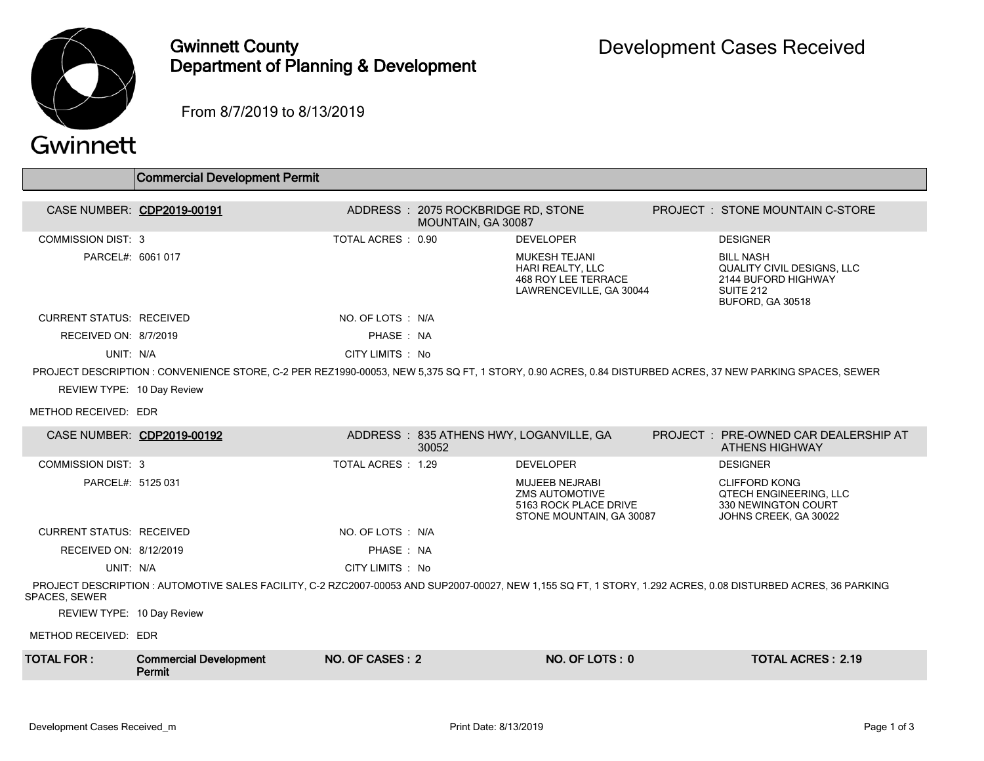

### Gwinnett County Department of Planning & Development

From 8/7/2019 to 8/13/2019

# Gwinnett

|                                 | <b>Commercial Development Permit</b>                                                                                                                          |                   |                                                          |                                                                                                     |                                                                                                                      |
|---------------------------------|---------------------------------------------------------------------------------------------------------------------------------------------------------------|-------------------|----------------------------------------------------------|-----------------------------------------------------------------------------------------------------|----------------------------------------------------------------------------------------------------------------------|
|                                 |                                                                                                                                                               |                   |                                                          |                                                                                                     |                                                                                                                      |
| CASE NUMBER: CDP2019-00191      |                                                                                                                                                               |                   | ADDRESS: 2075 ROCKBRIDGE RD, STONE<br>MOUNTAIN, GA 30087 |                                                                                                     | <b>PROJECT : STONE MOUNTAIN C-STORE</b>                                                                              |
| <b>COMMISSION DIST: 3</b>       |                                                                                                                                                               | TOTAL ACRES: 0.90 |                                                          | <b>DEVELOPER</b>                                                                                    | <b>DESIGNER</b>                                                                                                      |
| PARCEL#: 6061 017               |                                                                                                                                                               |                   |                                                          | <b>MUKESH TEJANI</b><br>HARI REALTY, LLC<br><b>468 ROY LEE TERRACE</b><br>LAWRENCEVILLE, GA 30044   | <b>BILL NASH</b><br><b>QUALITY CIVIL DESIGNS, LLC</b><br>2144 BUFORD HIGHWAY<br><b>SUITE 212</b><br>BUFORD, GA 30518 |
| <b>CURRENT STATUS: RECEIVED</b> |                                                                                                                                                               | NO. OF LOTS : N/A |                                                          |                                                                                                     |                                                                                                                      |
| RECEIVED ON: 8/7/2019           |                                                                                                                                                               | PHASE: NA         |                                                          |                                                                                                     |                                                                                                                      |
| UNIT: N/A                       |                                                                                                                                                               | CITY LIMITS : No  |                                                          |                                                                                                     |                                                                                                                      |
|                                 | PROJECT DESCRIPTION : CONVENIENCE STORE, C-2 PER REZ1990-00053, NEW 5,375 SQ FT, 1 STORY, 0.90 ACRES, 0.84 DISTURBED ACRES, 37 NEW PARKING SPACES, SEWER      |                   |                                                          |                                                                                                     |                                                                                                                      |
| REVIEW TYPE: 10 Day Review      |                                                                                                                                                               |                   |                                                          |                                                                                                     |                                                                                                                      |
| METHOD RECEIVED: EDR            |                                                                                                                                                               |                   |                                                          |                                                                                                     |                                                                                                                      |
| CASE NUMBER: CDP2019-00192      |                                                                                                                                                               |                   | 30052                                                    | ADDRESS: 835 ATHENS HWY, LOGANVILLE, GA                                                             | PROJECT: PRE-OWNED CAR DEALERSHIP AT<br><b>ATHENS HIGHWAY</b>                                                        |
| <b>COMMISSION DIST: 3</b>       |                                                                                                                                                               | TOTAL ACRES: 1.29 |                                                          | <b>DEVELOPER</b>                                                                                    | <b>DESIGNER</b>                                                                                                      |
| PARCEL#: 5125 031               |                                                                                                                                                               |                   |                                                          | <b>MUJEEB NEJRABI</b><br><b>ZMS AUTOMOTIVE</b><br>5163 ROCK PLACE DRIVE<br>STONE MOUNTAIN, GA 30087 | <b>CLIFFORD KONG</b><br><b>QTECH ENGINEERING, LLC</b><br>330 NEWINGTON COURT<br>JOHNS CREEK, GA 30022                |
| <b>CURRENT STATUS: RECEIVED</b> |                                                                                                                                                               | NO. OF LOTS : N/A |                                                          |                                                                                                     |                                                                                                                      |
| RECEIVED ON: 8/12/2019          |                                                                                                                                                               | PHASE: NA         |                                                          |                                                                                                     |                                                                                                                      |
| UNIT: N/A                       |                                                                                                                                                               | CITY LIMITS : No  |                                                          |                                                                                                     |                                                                                                                      |
| <b>SPACES, SEWER</b>            | PROJECT DESCRIPTION : AUTOMOTIVE SALES FACILITY, C-2 RZC2007-00053 AND SUP2007-00027, NEW 1,155 SQ FT, 1 STORY, 1.292 ACRES, 0.08 DISTURBED ACRES, 36 PARKING |                   |                                                          |                                                                                                     |                                                                                                                      |
| REVIEW TYPE: 10 Day Review      |                                                                                                                                                               |                   |                                                          |                                                                                                     |                                                                                                                      |
| METHOD RECEIVED: EDR            |                                                                                                                                                               |                   |                                                          |                                                                                                     |                                                                                                                      |
| TOTAL FOR :                     | <b>Commercial Development</b>                                                                                                                                 | NO. OF CASES: 2   |                                                          | NO. OF LOTS: 0                                                                                      | <b>TOTAL ACRES: 2.19</b>                                                                                             |

Permit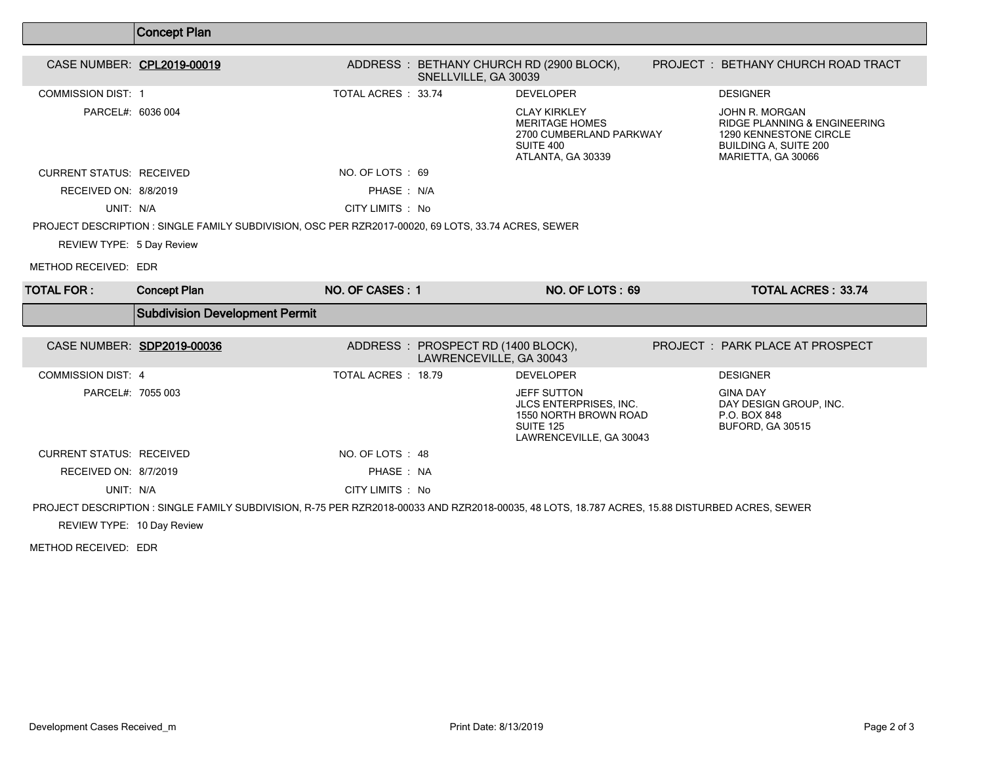|                                 | Concept Plan                                                                                                                                   |                    |                                                               |                                                                                                                             |                                                                                                                                           |
|---------------------------------|------------------------------------------------------------------------------------------------------------------------------------------------|--------------------|---------------------------------------------------------------|-----------------------------------------------------------------------------------------------------------------------------|-------------------------------------------------------------------------------------------------------------------------------------------|
| CASE NUMBER: CPL2019-00019      |                                                                                                                                                |                    | SNELLVILLE, GA 30039                                          | ADDRESS: BETHANY CHURCH RD (2900 BLOCK),                                                                                    | PROJECT : BETHANY CHURCH ROAD TRACT                                                                                                       |
| <b>COMMISSION DIST: 1</b>       |                                                                                                                                                | TOTAL ACRES: 33.74 |                                                               | <b>DEVELOPER</b>                                                                                                            | <b>DESIGNER</b>                                                                                                                           |
| PARCEL#: 6036 004               |                                                                                                                                                |                    |                                                               | <b>CLAY KIRKLEY</b><br><b>MERITAGE HOMES</b><br>2700 CUMBERLAND PARKWAY<br>SUITE 400<br>ATLANTA, GA 30339                   | JOHN R. MORGAN<br><b>RIDGE PLANNING &amp; ENGINEERING</b><br>1290 KENNESTONE CIRCLE<br><b>BUILDING A, SUITE 200</b><br>MARIETTA, GA 30066 |
| <b>CURRENT STATUS: RECEIVED</b> |                                                                                                                                                | NO. OF LOTS: 69    |                                                               |                                                                                                                             |                                                                                                                                           |
| RECEIVED ON: 8/8/2019           |                                                                                                                                                | PHASE: N/A         |                                                               |                                                                                                                             |                                                                                                                                           |
| UNIT: N/A                       |                                                                                                                                                | CITY LIMITS : No   |                                                               |                                                                                                                             |                                                                                                                                           |
|                                 | PROJECT DESCRIPTION : SINGLE FAMILY SUBDIVISION, OSC PER RZR2017-00020, 69 LOTS, 33.74 ACRES, SEWER                                            |                    |                                                               |                                                                                                                             |                                                                                                                                           |
| REVIEW TYPE: 5 Day Review       |                                                                                                                                                |                    |                                                               |                                                                                                                             |                                                                                                                                           |
| METHOD RECEIVED: EDR            |                                                                                                                                                |                    |                                                               |                                                                                                                             |                                                                                                                                           |
|                                 |                                                                                                                                                |                    |                                                               |                                                                                                                             |                                                                                                                                           |
| <b>TOTAL FOR :</b>              | <b>Concept Plan</b>                                                                                                                            | NO. OF CASES: 1    |                                                               | NO. OF LOTS: 69                                                                                                             | <b>TOTAL ACRES: 33.74</b>                                                                                                                 |
|                                 | <b>Subdivision Development Permit</b>                                                                                                          |                    |                                                               |                                                                                                                             |                                                                                                                                           |
| CASE NUMBER: SDP2019-00036      |                                                                                                                                                |                    | ADDRESS: PROSPECT RD (1400 BLOCK),<br>LAWRENCEVILLE, GA 30043 |                                                                                                                             | PROJECT : PARK PLACE AT PROSPECT                                                                                                          |
| <b>COMMISSION DIST: 4</b>       |                                                                                                                                                | TOTAL ACRES: 18.79 |                                                               | <b>DEVELOPER</b>                                                                                                            | <b>DESIGNER</b>                                                                                                                           |
| PARCEL#: 7055 003               |                                                                                                                                                |                    |                                                               | <b>JEFF SUTTON</b><br><b>JLCS ENTERPRISES. INC.</b><br>1550 NORTH BROWN ROAD<br><b>SUITE 125</b><br>LAWRENCEVILLE, GA 30043 | <b>GINA DAY</b><br>DAY DESIGN GROUP, INC.<br>P.O. BOX 848<br>BUFORD, GA 30515                                                             |
| <b>CURRENT STATUS: RECEIVED</b> |                                                                                                                                                | NO. OF LOTS : 48   |                                                               |                                                                                                                             |                                                                                                                                           |
| RECEIVED ON: 8/7/2019           |                                                                                                                                                | PHASE: NA          |                                                               |                                                                                                                             |                                                                                                                                           |
| UNIT: N/A                       |                                                                                                                                                | CITY LIMITS : No   |                                                               |                                                                                                                             |                                                                                                                                           |
|                                 | PROJECT DESCRIPTION : SINGLE FAMILY SUBDIVISION, R-75 PER RZR2018-00033 AND RZR2018-00035, 48 LOTS, 18.787 ACRES, 15.88 DISTURBED ACRES, SEWER |                    |                                                               |                                                                                                                             |                                                                                                                                           |

METHOD RECEIVED: EDR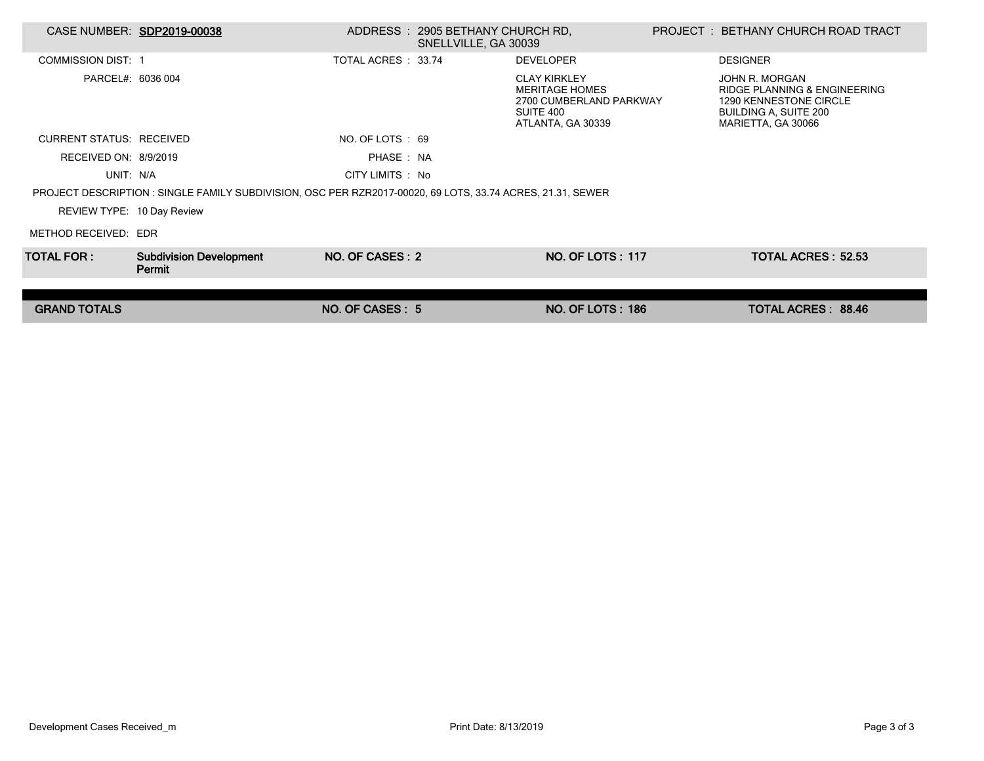| CASE NUMBER: SDP2019-00038      |                                                                                                            |                     | ADDRESS : 2905 BETHANY CHURCH RD.<br>SNELLVILLE, GA 30039 |                                                                                                           | PROJECT : BETHANY CHURCH ROAD TRACT                                                                                     |  |
|---------------------------------|------------------------------------------------------------------------------------------------------------|---------------------|-----------------------------------------------------------|-----------------------------------------------------------------------------------------------------------|-------------------------------------------------------------------------------------------------------------------------|--|
| <b>COMMISSION DIST: 1</b>       |                                                                                                            | TOTAL ACRES : 33.74 |                                                           | <b>DEVELOPER</b>                                                                                          | <b>DESIGNER</b>                                                                                                         |  |
| PARCEL#: 6036 004               |                                                                                                            |                     |                                                           | <b>CLAY KIRKLEY</b><br><b>MERITAGE HOMES</b><br>2700 CUMBERLAND PARKWAY<br>SUITE 400<br>ATLANTA, GA 30339 | JOHN R. MORGAN<br>RIDGE PLANNING & ENGINEERING<br>1290 KENNESTONE CIRCLE<br>BUILDING A, SUITE 200<br>MARIETTA, GA 30066 |  |
| <b>CURRENT STATUS: RECEIVED</b> |                                                                                                            | NO. OF LOTS : 69    |                                                           |                                                                                                           |                                                                                                                         |  |
| RECEIVED ON: 8/9/2019           |                                                                                                            | PHASE: NA           |                                                           |                                                                                                           |                                                                                                                         |  |
| UNIT: N/A                       |                                                                                                            | CITY LIMITS : No    |                                                           |                                                                                                           |                                                                                                                         |  |
|                                 | PROJECT DESCRIPTION : SINGLE FAMILY SUBDIVISION, OSC PER RZR2017-00020, 69 LOTS, 33.74 ACRES, 21.31, SEWER |                     |                                                           |                                                                                                           |                                                                                                                         |  |
| REVIEW TYPE: 10 Day Review      |                                                                                                            |                     |                                                           |                                                                                                           |                                                                                                                         |  |
| METHOD RECEIVED: EDR            |                                                                                                            |                     |                                                           |                                                                                                           |                                                                                                                         |  |
| TOTAL FOR : I                   | <b>Subdivision Development</b><br>Permit                                                                   | NO. OF CASES: 2     |                                                           | <b>NO. OF LOTS: 117</b>                                                                                   | <b>TOTAL ACRES: 52.53</b>                                                                                               |  |
|                                 |                                                                                                            |                     |                                                           |                                                                                                           |                                                                                                                         |  |
| <b>GRAND TOTALS</b>             |                                                                                                            | NO. OF CASES: 5     |                                                           | <b>NO. OF LOTS: 186</b>                                                                                   | TOTAL ACRES: 88.46                                                                                                      |  |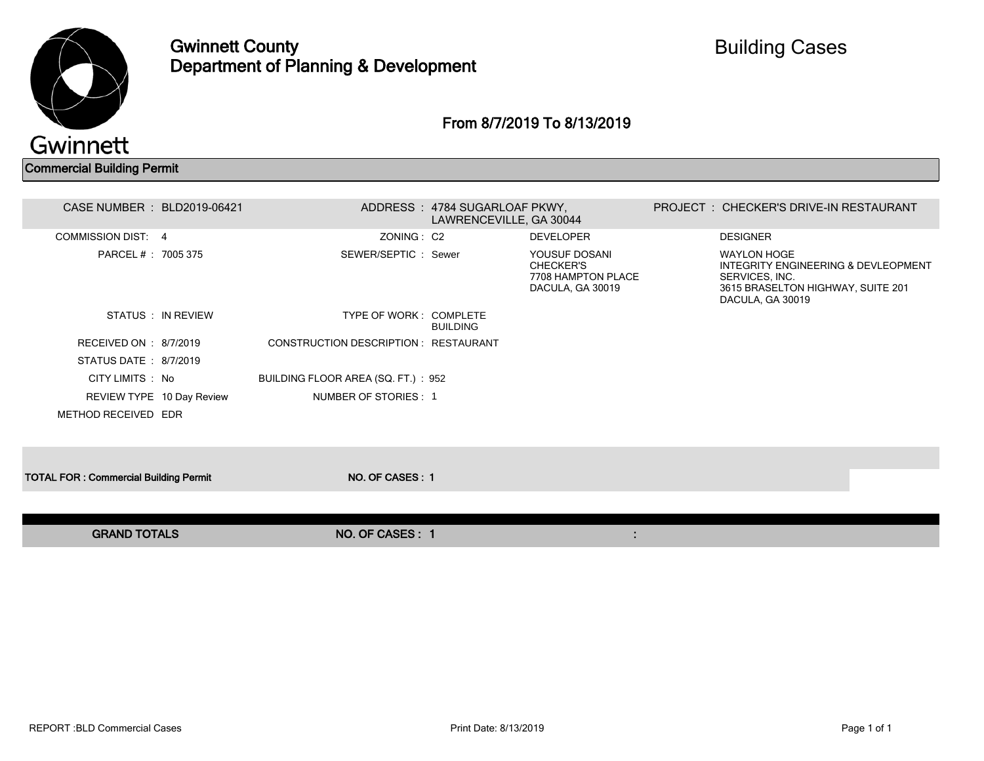

Gwinnett County Department of Planning & Development

#### From 8/7/2019 To 8/13/2019

Commercial Building Permit

| CASE NUMBER : BLD2019-06421                  |                                       | ADDRESS: 4784 SUGARLOAF PKWY,<br>LAWRENCEVILLE, GA 30044 |                                                                             | PROJECT: CHECKER'S DRIVE-IN RESTAURANT                                                                                               |  |
|----------------------------------------------|---------------------------------------|----------------------------------------------------------|-----------------------------------------------------------------------------|--------------------------------------------------------------------------------------------------------------------------------------|--|
| <b>COMMISSION DIST: 4</b>                    | ZONING: C2                            |                                                          | <b>DEVELOPER</b>                                                            | <b>DESIGNER</b>                                                                                                                      |  |
| PARCEL # : 7005 375                          | SEWER/SEPTIC: Sewer                   |                                                          | YOUSUF DOSANI<br><b>CHECKER'S</b><br>7708 HAMPTON PLACE<br>DACULA, GA 30019 | <b>WAYLON HOGE</b><br>INTEGRITY ENGINEERING & DEVLEOPMENT<br>SERVICES, INC.<br>3615 BRASELTON HIGHWAY, SUITE 201<br>DACULA, GA 30019 |  |
| STATUS : IN REVIEW                           | TYPE OF WORK: COMPLETE                | <b>BUILDING</b>                                          |                                                                             |                                                                                                                                      |  |
| RECEIVED ON : 8/7/2019                       | CONSTRUCTION DESCRIPTION : RESTAURANT |                                                          |                                                                             |                                                                                                                                      |  |
| STATUS DATE: 8/7/2019                        |                                       |                                                          |                                                                             |                                                                                                                                      |  |
| CITY LIMITS : No                             | BUILDING FLOOR AREA (SQ. FT.): 952    |                                                          |                                                                             |                                                                                                                                      |  |
| REVIEW TYPE 10 Day Review                    | NUMBER OF STORIES: 1                  |                                                          |                                                                             |                                                                                                                                      |  |
| METHOD RECEIVED EDR                          |                                       |                                                          |                                                                             |                                                                                                                                      |  |
|                                              |                                       |                                                          |                                                                             |                                                                                                                                      |  |
| <b>TOTAL FOR: Commercial Building Permit</b> | NO. OF CASES: 1                       |                                                          |                                                                             |                                                                                                                                      |  |
|                                              |                                       |                                                          |                                                                             |                                                                                                                                      |  |
| <b>GRAND TOTALS</b>                          | NO. OF CASES: 1                       |                                                          |                                                                             |                                                                                                                                      |  |
|                                              |                                       |                                                          |                                                                             |                                                                                                                                      |  |